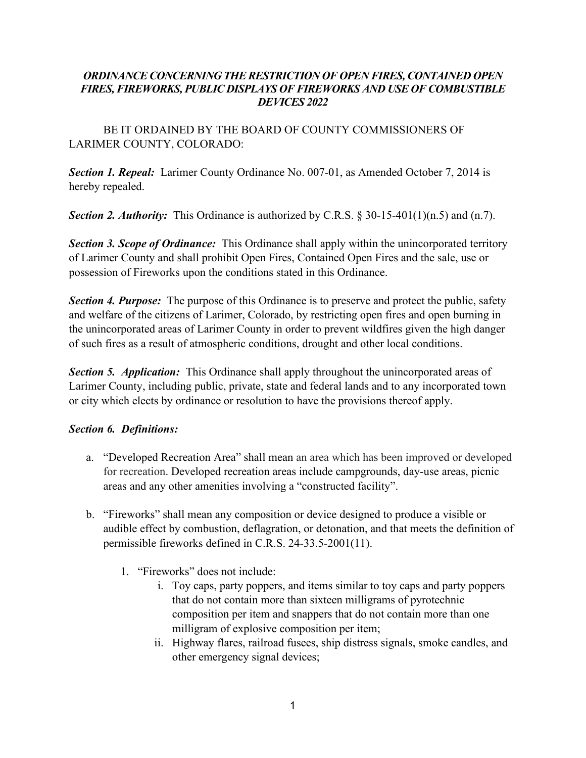## *DEVICES 2022 ORDINANCE CONCERNING THE RESTRICTION OF OPEN FIRES, CONTAINED OPEN FIRES, FIREWORKS, PUBLIC DISPLAYS OF FIREWORKS AND USE OF COMBUSTIBLE*

BE IT ORDAINED BY THE BOARD OF COUNTY COMMISSIONERS OF LARIMER COUNTY, COLORADO:

*Section 1. Repeal:* Larimer County Ordinance No. 007-01, as Amended October 7, 2014 is hereby repealed.

*Section 2. Authority:* This Ordinance is authorized by C.R.S. § 30-15-401(1)(n.5) and (n.7).

**Section 3. Scope of Ordinance:** This Ordinance shall apply within the unincorporated territory of Larimer County and shall prohibit Open Fires, Contained Open Fires and the sale, use or possession of Fireworks upon the conditions stated in this Ordinance.

*Section 4. Purpose:* The purpose of this Ordinance is to preserve and protect the public, safety and welfare of the citizens of Larimer, Colorado, by restricting open fires and open burning in the unincorporated areas of Larimer County in order to prevent wildfires given the high danger of such fires as a result of atmospheric conditions, drought and other local conditions.

**Section 5. Application:** This Ordinance shall apply throughout the unincorporated areas of Larimer County, including public, private, state and federal lands and to any incorporated town or city which elects by ordinance or resolution to have the provisions thereof apply.

## *Section 6. Definitions:*

- a. "Developed Recreation Area" shall mean an area which has been improved or developed for recreation. Developed recreation areas include campgrounds, day-use areas, picnic areas and any other amenities involving a "constructed facility".
- b. "Fireworks" shall mean any composition or device designed to produce a visible or audible effect by combustion, deflagration, or detonation, and that meets the definition of permissible fireworks defined in C.R.S. 24-33.5-2001(11).
	- 1. "Fireworks" does not include:
		- i. Toy caps, party poppers, and items similar to toy caps and party poppers that do not contain more than sixteen milligrams of pyrotechnic composition per item and snappers that do not contain more than one milligram of explosive composition per item;
		- ii. Highway flares, railroad fusees, ship distress signals, smoke candles, and other emergency signal devices;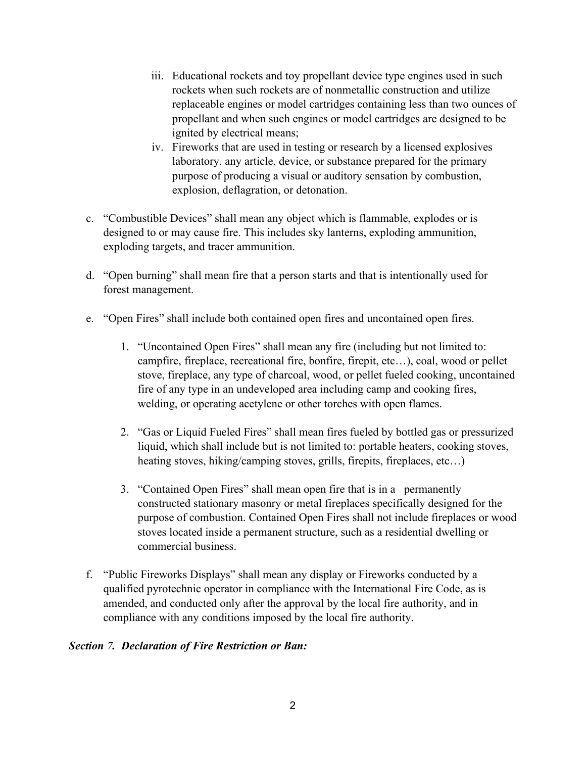- iii. Educational rockets and toy propellant device type engines used in such rockets when such rockets are of nonmetallic construction and utilize replaceable engines or model cartridges containing less than two ounces of propellant and when such engines or model cartridges are designed to be ignited by electrical means;
- iv. Fireworks that are used in testing or research by a licensed explosives laboratory. any article, device, or substance prepared for the primary purpose of producing a visual or auditory sensation by combustion, explosion, deflagration, or detonation.
- c. "Combustible Devices" shall mean any object which is flammable, explodes or is exploding targets, and tracer ammunition. designed to or may cause fire. This includes sky lanterns, exploding ammunition,
- d. "Open burning" shall mean fire that a person starts and that is intentionally used for forest management.
- e. "Open Fires" shall include both contained open fires and uncontained open fires.
	- campfire, fireplace, recreational fire, bonfire, firepit, etc…), coal, wood or pellet 1. "Uncontained Open Fires" shall mean any fire (including but not limited to: stove, fireplace, any type of charcoal, wood, or pellet fueled cooking, uncontained fire of any type in an undeveloped area including camp and cooking fires, welding, or operating acetylene or other torches with open flames.
	- 2. "Gas or Liquid Fueled Fires" shall mean fires fueled by bottled gas or pressurized liquid, which shall include but is not limited to: portable heaters, cooking stoves, heating stoves, hiking/camping stoves, grills, firepits, fireplaces, etc...)
	- 3. "Contained Open Fires" shall mean open fire that is in a permanently constructed stationary masonry or metal fireplaces specifically designed for the purpose of combustion. Contained Open Fires shall not include fireplaces or wood stoves located inside a permanent structure, such as a residential dwelling or commercial business.
- compliance with any conditions imposed by the local fire authority. f. "Public Fireworks Displays" shall mean any display or Fireworks conducted by a qualified pyrotechnic operator in compliance with the International Fire Code, as is amended, and conducted only after the approval by the local fire authority, and in

## *Section 7. Declaration of Fire Restriction or Ban:*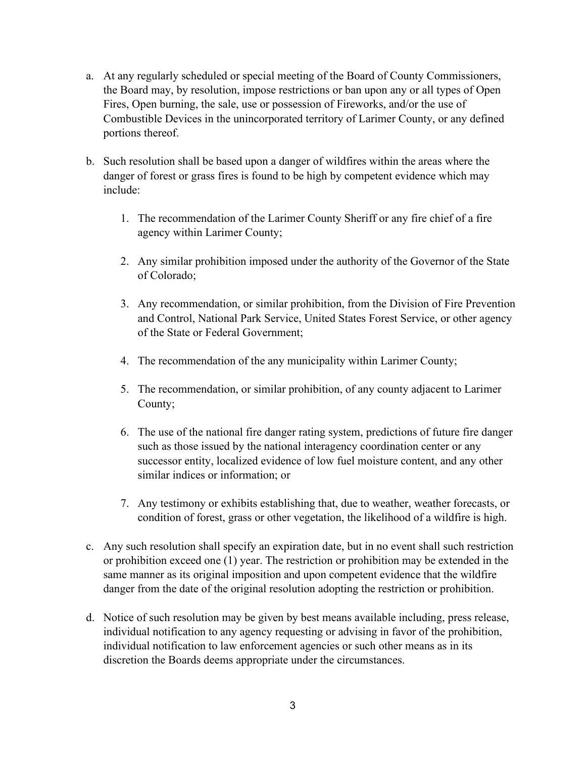- Fires, Open burning, the sale, use or possession of Fireworks, and/or the use of a. At any regularly scheduled or special meeting of the Board of County Commissioners, the Board may, by resolution, impose restrictions or ban upon any or all types of Open Combustible Devices in the unincorporated territory of Larimer County, or any defined portions thereof.
- b. Such resolution shall be based upon a danger of wildfires within the areas where the danger of forest or grass fires is found to be high by competent evidence which may include:
	- 1. The recommendation of the Larimer County Sheriff or any fire chief of a fire agency within Larimer County;
	- 2. Any similar prohibition imposed under the authority of the Governor of the State of Colorado;
	- 3. Any recommendation, or similar prohibition, from the Division of Fire Prevention and Control, National Park Service, United States Forest Service, or other agency of the State or Federal Government;
	- 4. The recommendation of the any municipality within Larimer County;
	- 5. The recommendation, or similar prohibition, of any county adjacent to Larimer County;
	- 6. The use of the national fire danger rating system, predictions of future fire danger such as those issued by the national interagency coordination center or any successor entity, localized evidence of low fuel moisture content, and any other similar indices or information; or
	- condition of forest, grass or other vegetation, the likelihood of a wildfire is high. 7. Any testimony or exhibits establishing that, due to weather, weather forecasts, or
- c. Any such resolution shall specify an expiration date, but in no event shall such restriction or prohibition exceed one (1) year. The restriction or prohibition may be extended in the same manner as its original imposition and upon competent evidence that the wildfire danger from the date of the original resolution adopting the restriction or prohibition.
- individual notification to law enforcement agencies or such other means as in its d. Notice of such resolution may be given by best means available including, press release, individual notification to any agency requesting or advising in favor of the prohibition, discretion the Boards deems appropriate under the circumstances.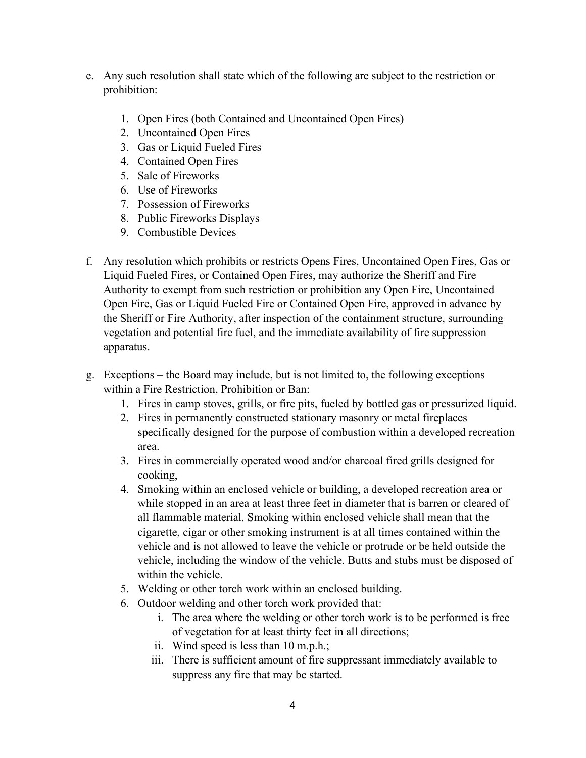- e. Any such resolution shall state which of the following are subject to the restriction or prohibition:
	- 1. Open Fires (both Contained and Uncontained Open Fires)
	- 2. Uncontained Open Fires
	- 3. Gas or Liquid Fueled Fires
	- 4. Contained Open Fires
	- 5. Sale of Fireworks
	- 6. Use of Fireworks
	- 7. Possession of Fireworks
	- 8. Public Fireworks Displays
	- 9. Combustible Devices
- f. Any resolution which prohibits or restricts Opens Fires, Uncontained Open Fires, Gas or Open Fire, Gas or Liquid Fueled Fire or Contained Open Fire, approved in advance by the Sheriff or Fire Authority, after inspection of the containment structure, surrounding Liquid Fueled Fires, or Contained Open Fires, may authorize the Sheriff and Fire Authority to exempt from such restriction or prohibition any Open Fire, Uncontained vegetation and potential fire fuel, and the immediate availability of fire suppression apparatus.
- g. Exceptions the Board may include, but is not limited to, the following exceptions within a Fire Restriction, Prohibition or Ban:
	- 1. Fires in camp stoves, grills, or fire pits, fueled by bottled gas or pressurized liquid.
	- 2. Fires in permanently constructed stationary masonry or metal fireplaces specifically designed for the purpose of combustion within a developed recreation area.
	- 3. Fires in commercially operated wood and/or charcoal fired grills designed for cooking,
	- while stopped in an area at least three feet in diameter that is barren or cleared of 4. Smoking within an enclosed vehicle or building, a developed recreation area or all flammable material. Smoking within enclosed vehicle shall mean that the cigarette, cigar or other smoking instrument is at all times contained within the vehicle and is not allowed to leave the vehicle or protrude or be held outside the vehicle, including the window of the vehicle. Butts and stubs must be disposed of within the vehicle.
	- 5. Welding or other torch work within an enclosed building.
	- 6. Outdoor welding and other torch work provided that:
		- i. The area where the welding or other torch work is to be performed is free of vegetation for at least thirty feet in all directions;
		- ii. Wind speed is less than 10 m.p.h.;
		- iii. There is sufficient amount of fire suppressant immediately available to suppress any fire that may be started.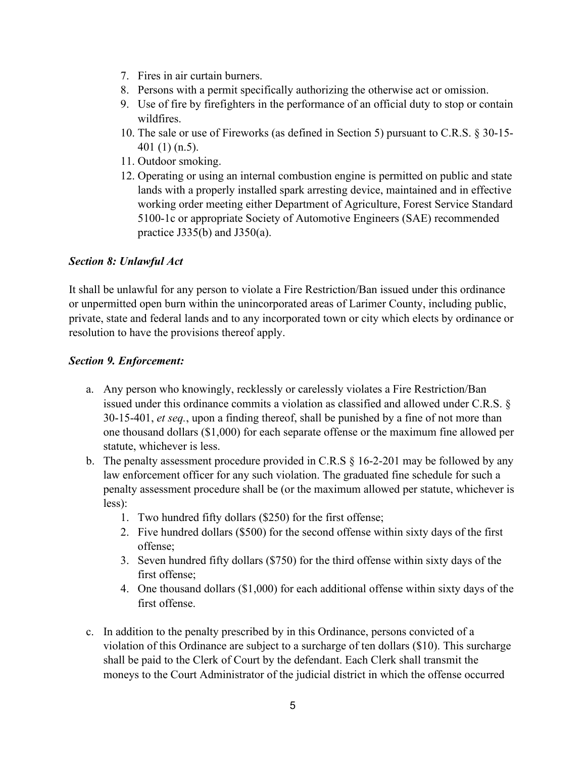- 7. Fires in air curtain burners.
- 8. Persons with a permit specifically authorizing the otherwise act or omission.
- 9. Use of fire by firefighters in the performance of an official duty to stop or contain wildfires.
- 401 (1) (n.5). 10. The sale or use of Fireworks (as defined in Section 5) pursuant to C.R.S. § 30-15-
- 11. Outdoor smoking.
- 12. Operating or using an internal combustion engine is permitted on public and state lands with a properly installed spark arresting device, maintained and in effective working order meeting either Department of Agriculture, Forest Service Standard 5100-1c or appropriate Society of Automotive Engineers (SAE) recommended practice J335(b) and J350(a).

# *Section 8: Unlawful Act*

It shall be unlawful for any person to violate a Fire Restriction/Ban issued under this ordinance or unpermitted open burn within the unincorporated areas of Larimer County, including public, private, state and federal lands and to any incorporated town or city which elects by ordinance or resolution to have the provisions thereof apply.

# *Section 9. Enforcement:*

- a. Any person who knowingly, recklessly or carelessly violates a Fire Restriction/Ban issued under this ordinance commits a violation as classified and allowed under C.R.S. § 30-15-401, *et seq.*, upon a finding thereof, shall be punished by a fine of not more than one thousand dollars (\$1,000) for each separate offense or the maximum fine allowed per statute, whichever is less.
- b. The penalty assessment procedure provided in C.R.S § 16-2-201 may be followed by any law enforcement officer for any such violation. The graduated fine schedule for such a penalty assessment procedure shall be (or the maximum allowed per statute, whichever is less):
	- 1. Two hundred fifty dollars (\$250) for the first offense;
	- 2. Five hundred dollars (\$500) for the second offense within sixty days of the first offense;
	- 3. Seven hundred fifty dollars (\$750) for the third offense within sixty days of the first offense;
	- 4. One thousand dollars (\$1,000) for each additional offense within sixty days of the first offense.
- c. In addition to the penalty prescribed by in this Ordinance, persons convicted of a violation of this Ordinance are subject to a surcharge of ten dollars (\$10). This surcharge shall be paid to the Clerk of Court by the defendant. Each Clerk shall transmit the moneys to the Court Administrator of the judicial district in which the offense occurred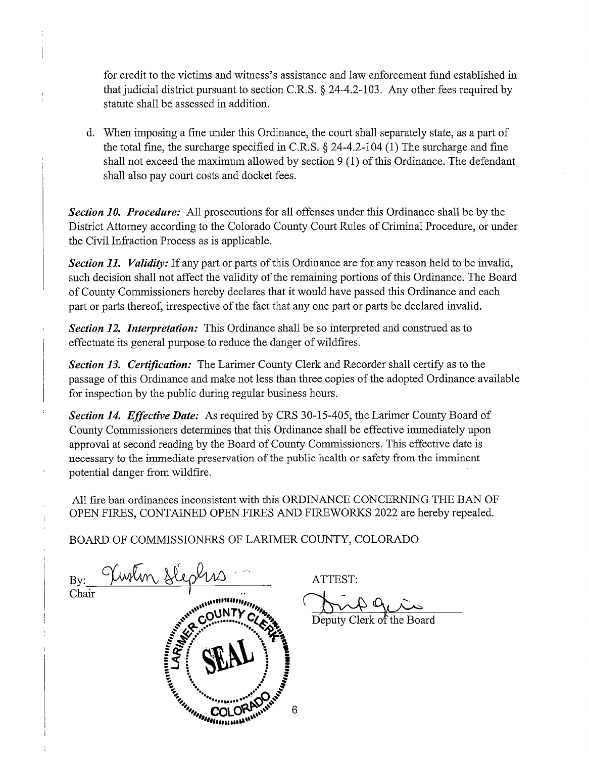for credit to the victims and witness's assistance and law enforcement fund established in that judicial district pursuant to section C.R.S. § 24-4.2-103. Any other fees required by statute shall be assessed in addition.

d. When imposing a fine under this Ordinance, the court shall separately state, as a part of the total fine, the surcharge specified in C.R.S. § 24-4.2-104 (1) The surcharge and fine shall not exceed the maximum allowed by section  $9(1)$  of this Ordinance. The defendant shall also pay court costs and docket fees.

*Section 10. Procedure:* All prosecutions for all offenses under this Ordinance shall be by the District Attorney according to the Colorado County Court Rules of Criminal Procedure, or under the Civil Infraction Process as is applicable.

Section 11. Validity: If any part or parts of this Ordinance are for any reason held to be invalid, such decision shall not affect the validity of the remaining portions of this Ordinance. The Board of County Commissioners hereby declares that it would have passed this Ordinance and each part or parts thereof, irrespective of the fact that any one part or parts be declared invalid.

*Section 12. Interpretation:* This Ordinance shall be so interpreted and construed as to effectuate its general purpose to reduce the danger of wildfires.

*Section 13. Certification:* The Larimer County Clerk and Recorder shall certify as to the passage of this Ordinance and make not less than three copies of the adopted Ordinance available for inspection by the public during regular business hours.

*Section 14. Effective Date:* As required by CRS 30-15-405, the Larimer County Board of County Commissioners determines that this Ordinance shall be effective immediately upon approval at second reading by the Board of County Commissioners. This effective date is necessary to the immediate preservation of the public health or safety from the imminent potential danger from wildfire.

All fire ban ordinances inconsistent with this ORDINANCE CONCERNING THE BAN OF OPEN FIRES, CONTAINED OPEN FIRES AND FIREWORKS 2022 are hereby repealed.

6

BOARD OF COMMISSIONERS OF LARIMER COUNTY, COLORADO

By: Vivelin Slephis ATTEST:<br>Chair Communications Of Deputy Clerk of the Board  $By:$  Usin Slepens ATTEST: